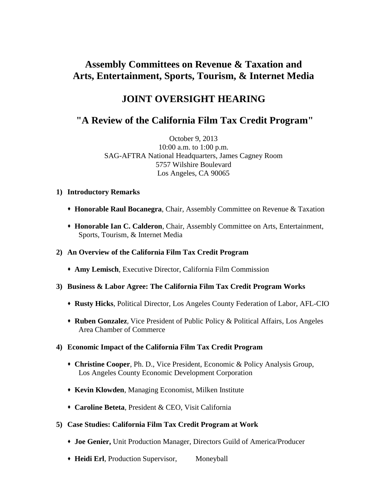# **Assembly Committees on Revenue & Taxation and Arts, Entertainment, Sports, Tourism, & Internet Media**

## **JOINT OVERSIGHT HEARING**

### **"A Review of the California Film Tax Credit Program"**

October 9, 2013 10:00 a.m. to 1:00 p.m. SAG-AFTRA National Headquarters, James Cagney Room 5757 Wilshire Boulevard Los Angeles, CA 90065

- **1) Introductory Remarks**
	- **Honorable Raul Bocanegra**, Chair, Assembly Committee on Revenue & Taxation
	- **Honorable Ian C. Calderon**, Chair, Assembly Committee on Arts, Entertainment, Sports, Tourism, & Internet Media

#### **2) An Overview of the California Film Tax Credit Program**

- **Amy Lemisch**, Executive Director, California Film Commission
- **3) Business & Labor Agree: The California Film Tax Credit Program Works**
	- **Rusty Hicks**, Political Director, Los Angeles County Federation of Labor, AFL-CIO
	- **Ruben Gonzalez**, Vice President of Public Policy & Political Affairs, Los Angeles Area Chamber of Commerce

#### **4) Economic Impact of the California Film Tax Credit Program**

- **Christine Cooper**, Ph. D., Vice President, Economic & Policy Analysis Group, Los Angeles County Economic Development Corporation
- **Kevin Klowden**, Managing Economist, Milken Institute
- **Caroline Beteta**, President & CEO, Visit California
- **5) Case Studies: California Film Tax Credit Program at Work**
	- **Joe Genier,** Unit Production Manager, Directors Guild of America/Producer
	- **Heidi Erl**, Production Supervisor, Moneyball